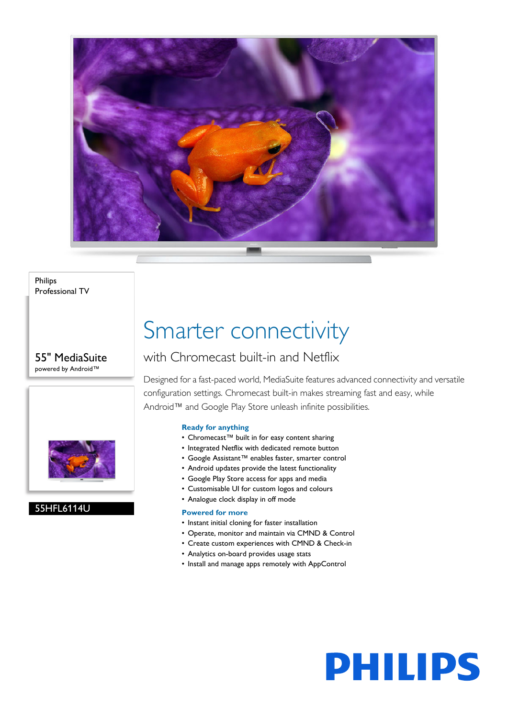

Philips Professional TV

55" MediaSuite powered by Android™



#### 55HFL6114U

## Smarter connectivity

### with Chromecast built-in and Netflix

Designed for a fast-paced world, MediaSuite features advanced connectivity and versatile configuration settings. Chromecast built-in makes streaming fast and easy, while Android™ and Google Play Store unleash infinite possibilities.

#### **Ready for anything**

- Chromecast™ built in for easy content sharing
- Integrated Netflix with dedicated remote button
- Google Assistant™ enables faster, smarter control
- Android updates provide the latest functionality
- Google Play Store access for apps and media
- Customisable UI for custom logos and colours
- Analogue clock display in off mode

#### **Powered for more**

- Instant initial cloning for faster installation
- Operate, monitor and maintain via CMND & Control
- Create custom experiences with CMND & Check-in
- Analytics on-board provides usage stats
- Install and manage apps remotely with AppControl

# **PHILIPS**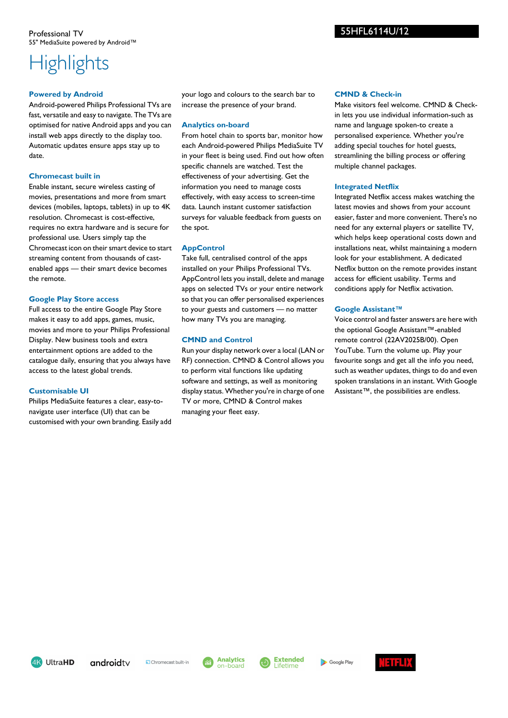### **Highlights**

#### **Powered by Android**

Android-powered Philips Professional TVs are fast, versatile and easy to navigate. The TVs are optimised for native Android apps and you can install web apps directly to the display too. Automatic updates ensure apps stay up to date.

#### **Chromecast built in**

Enable instant, secure wireless casting of movies, presentations and more from smart devices (mobiles, laptops, tablets) in up to 4K resolution. Chromecast is cost-effective, requires no extra hardware and is secure for professional use. Users simply tap the Chromecast icon on their smart device to start streaming content from thousands of castenabled apps — their smart device becomes the remote.

#### **Google Play Store access**

Full access to the entire Google Play Store makes it easy to add apps, games, music, movies and more to your Philips Professional Display. New business tools and extra entertainment options are added to the catalogue daily, ensuring that you always have access to the latest global trends.

#### **Customisable UI**

Philips MediaSuite features a clear, easy-tonavigate user interface (UI) that can be customised with your own branding. Easily add your logo and colours to the search bar to increase the presence of your brand.

#### **Analytics on-board**

From hotel chain to sports bar, monitor how each Android-powered Philips MediaSuite TV in your fleet is being used. Find out how often specific channels are watched. Test the effectiveness of your advertising. Get the information you need to manage costs effectively, with easy access to screen-time data. Launch instant customer satisfaction surveys for valuable feedback from guests on the spot.

#### **AppControl**

Take full, centralised control of the apps installed on your Philips Professional TVs. AppControl lets you install, delete and manage apps on selected TVs or your entire network so that you can offer personalised experiences to your guests and customers — no matter how many TVs you are managing.

#### **CMND and Control**

Run your display network over a local (LAN or RF) connection. CMND & Control allows you to perform vital functions like updating software and settings, as well as monitoring display status. Whether you're in charge of one TV or more, CMND & Control makes managing your fleet easy.

#### **CMND & Check-in**

55HFL6114U/12

Make visitors feel welcome. CMND & Checkin lets you use individual information-such as name and language spoken-to create a personalised experience. Whether you're adding special touches for hotel guests, streamlining the billing process or offering multiple channel packages.

#### **Integrated Netflix**

Integrated Netflix access makes watching the latest movies and shows from your account easier, faster and more convenient. There's no need for any external players or satellite TV, which helps keep operational costs down and installations neat, whilst maintaining a modern look for your establishment. A dedicated Netflix button on the remote provides instant access for efficient usability. Terms and conditions apply for Netflix activation.

#### **Google Assistant™**

Voice control and faster answers are here with the optional Google Assistant™-enabled remote control (22AV2025B/00). Open YouTube. Turn the volume up. Play your favourite songs and get all the info you need, such as weather updates, things to do and even spoken translations in an instant. With Google Assistant™, the possibilities are endless.